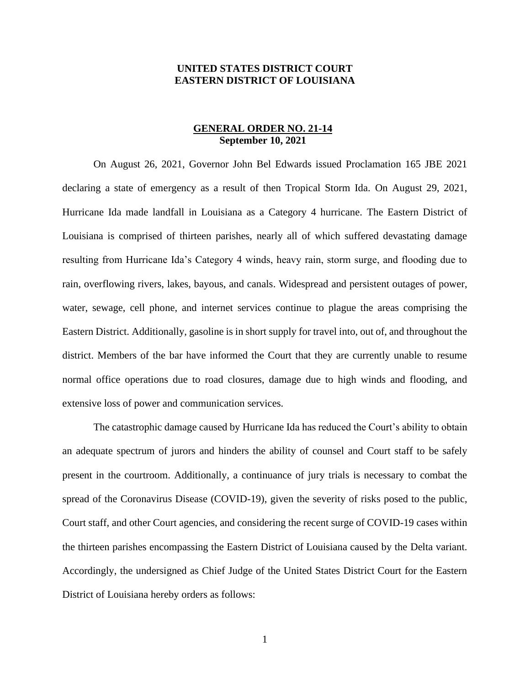## **UNITED STATES DISTRICT COURT EASTERN DISTRICT OF LOUISIANA**

## **GENERAL ORDER NO. 21-14 September 10, 2021**

On August 26, 2021, Governor John Bel Edwards issued Proclamation 165 JBE 2021 declaring a state of emergency as a result of then Tropical Storm Ida. On August 29, 2021, Hurricane Ida made landfall in Louisiana as a Category 4 hurricane. The Eastern District of Louisiana is comprised of thirteen parishes, nearly all of which suffered devastating damage resulting from Hurricane Ida's Category 4 winds, heavy rain, storm surge, and flooding due to rain, overflowing rivers, lakes, bayous, and canals. Widespread and persistent outages of power, water, sewage, cell phone, and internet services continue to plague the areas comprising the Eastern District. Additionally, gasoline is in short supply for travel into, out of, and throughout the district. Members of the bar have informed the Court that they are currently unable to resume normal office operations due to road closures, damage due to high winds and flooding, and extensive loss of power and communication services.

The catastrophic damage caused by Hurricane Ida has reduced the Court's ability to obtain an adequate spectrum of jurors and hinders the ability of counsel and Court staff to be safely present in the courtroom. Additionally, a continuance of jury trials is necessary to combat the spread of the Coronavirus Disease (COVID-19), given the severity of risks posed to the public, Court staff, and other Court agencies, and considering the recent surge of COVID-19 cases within the thirteen parishes encompassing the Eastern District of Louisiana caused by the Delta variant. Accordingly, the undersigned as Chief Judge of the United States District Court for the Eastern District of Louisiana hereby orders as follows: